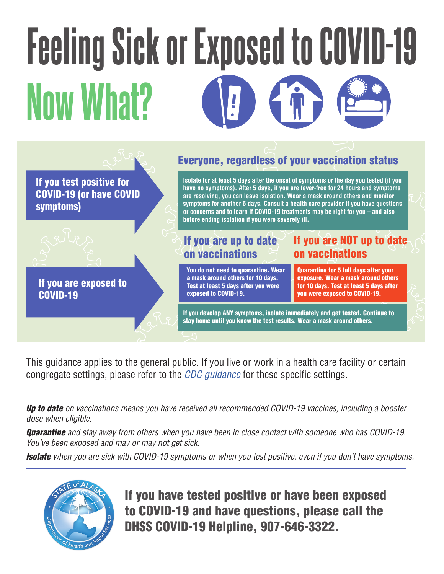# Feeling Sick or Exposed to COVID-19 Now What?



This guidance applies to the general public. If you live or work in a health care facility or certain congregate settings, please refer to the *[CDC guidance](https://www.cdc.gov/coronavirus/2019-ncov/your-health/quarantine-isolation.html)* for these specific settings.

*Up to date on vaccinations means you have received all recommended COVID-19 vaccines, including a booster dose when eligible.* 

*Quarantine and stay away from others when you have been in close contact with someone who has COVID-19. You've been exposed and may or may not get sick.* 

*Isolate when you are sick with COVID-19 symptoms or when you test positive, even if you don't have symptoms.* 



If you have tested positive or have been exposed to COVID-19 and have questions, please call the DHSS COVID-19 Helpline, 907-646-3322.